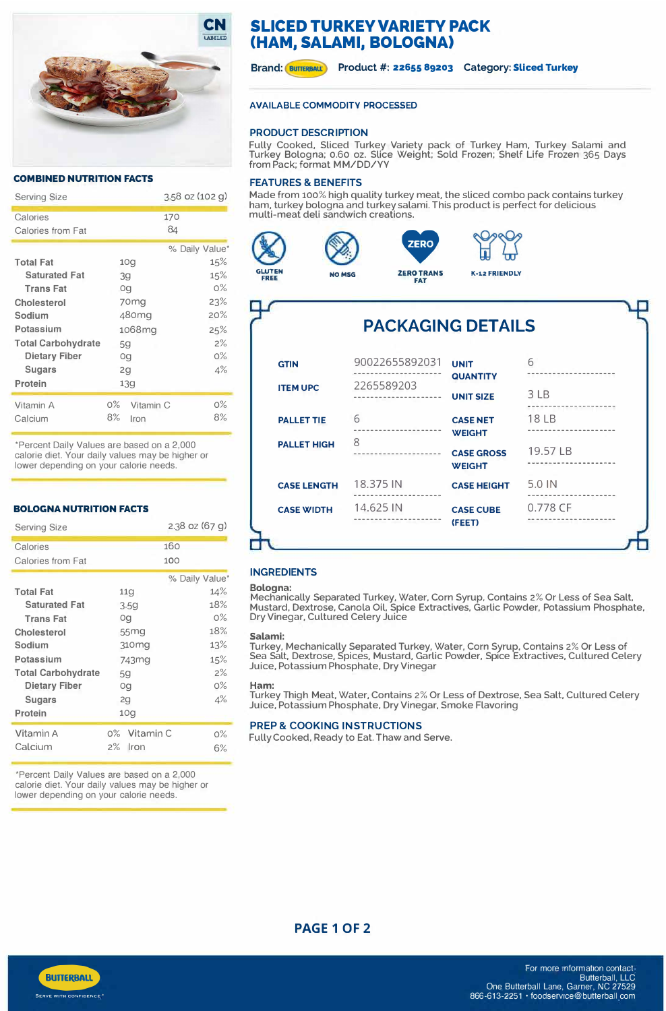

## **COMBINED NUTRITION FACTS**

| <b>Serving Size</b>       |                    | $3.58$ oz (102 g) |  |
|---------------------------|--------------------|-------------------|--|
| Calories                  |                    | 170               |  |
| Calories from Fat         |                    | 84                |  |
|                           |                    | % Daily Value*    |  |
| <b>Total Fat</b>          | 10q                | 15%               |  |
| <b>Saturated Fat</b>      | 39                 | 15%               |  |
| <b>Trans Fat</b>          | Og                 | $0\%$             |  |
| Cholesterol               | 70 <sub>mg</sub>   | 23%               |  |
| Sodium                    | 480 m q            | 20%               |  |
| Potassium                 | 1068mg             | 25%               |  |
| <b>Total Carbohydrate</b> | 59                 | 2%                |  |
| <b>Dietary Fiber</b>      | Og                 | $O\%$             |  |
| <b>Sugars</b>             | 2q                 | 4%                |  |
| Protein                   | 139                |                   |  |
| Vitamin A                 | $0\%$<br>Vitamin C | $0\%$             |  |
| Calcium                   | 8%<br>Iron         | 8%                |  |

\*Percent Daily Values are based on a 2,000 calorie diet. Your daily values may be higher or lower depending on your calorie needs.

## **BOLOGNA NUTRITION FACTS**

| <b>Serving Size</b>       |                    | 2.38 oz (67 g) |
|---------------------------|--------------------|----------------|
| Calories                  |                    | 160            |
| Calories from Fat         |                    | 100            |
|                           |                    | % Daily Value* |
| <b>Total Fat</b>          | 11 <sub>q</sub>    | 14%            |
| <b>Saturated Fat</b>      | 3.59               | 18%            |
| <b>Trans Fat</b>          | Og                 | $0\%$          |
| Cholesterol               | 55mg               | 18%            |
| Sodium                    | 310mg              | 13%            |
| Potassium                 | 743mg              | 15%            |
| <b>Total Carbohydrate</b> | 5 <sub>q</sub>     | 2%             |
| Dietary Fiber             | Og                 | $0\%$          |
| Sugars                    | 2q                 | 4%             |
| Protein                   | 10q                |                |
| Vitamin A                 | Vitamin C<br>$0\%$ | $0\%$          |
| Calcium                   | 2%<br>Iron         | 6%             |

\*Percent Daily Values are based on a 2,000 calorie diet. Your daily values may be higher or lower depending on your calorie needs.

# **SLICED TURKEY VARIETY PACK (HAM, SALAMI, BOLOGNA)**

Brand: **BUTTERBALL** Product #: 22655 89203 Category: Sliced Turkey

# **AVAILABLE COMMODITY PROCESSED**

# **PRODUCT DESCRIPTION**

Fully Cooked, Sliced Turkey Variety pack of Turkey Ham, Turkey Salami and Turkey Bologna; 0.60 oz. Slice Weight; Sold Frozen; Shelf Life Frozen 365 Days from Pack; format MM/DD/VY

# **FEATURES & BENEFITS**

Made from 100% high quality turkey meat, the sliced combo pack contains turkey **ERO**<br> **EXAMPLEMENTER AND STRUGHTS AND READ TRANS STRUGHTS AND READ TRANS SCHOOLS ON THE READ TRANS ALSO TRANS ALSO TRANS AND READ TRANS AND TRANS AND READ TRANS AND TRANS TRANS TRANS TRANS TRANS TRANS TRANS TRANS TRANS TR** multi-meat deli sandwich creations.







| <b>PACKAGING DETAILS</b> |                            |                                                   |  |
|--------------------------|----------------------------|---------------------------------------------------|--|
| 90022655892031           | UNIT                       | 6                                                 |  |
| 2265589203               | <b>UNIT SIZE</b>           | 3 LB                                              |  |
| 6                        | <b>CASE NET</b>            | $18$ IB                                           |  |
| 8                        | <b>CASE GROSS</b>          | 19.57 LB                                          |  |
| 18.375 IN                | <b>CASE HEIGHT</b>         | 5.0 IN                                            |  |
| 14.625 IN                | <b>CASE CUBE</b><br>(FEET) | 0.778 CF                                          |  |
|                          |                            | <b>QUANTITY</b><br><b>WEIGHT</b><br><b>WEIGHT</b> |  |

# **INGREDIENTS**

## **Bologna:**

Mechanically Separated Turkey. Water. Corn Syrup, Contains 2% Or Less of Sea Salt, Mustard, Dextrose, Canola Oil, Spice Extractives. Garlic Powder. Potassium Phosphate, Dry Vinegar, Cultured Celery Juice

#### **Salami:**

Turkey. Mechanically Separated Turkey. Water. Corn Syrup, Contains 2% Or Less of Sea Salt, Dextrose. Spices. Mustard, Garlic Powder, Spice Extractives, Cultured Celery Juice, Potassium Phosphate, Dry Vinegar

#### **Ham:**

Turkey Thigh Meat, Water. Contains 2% Or Less of Dextrose, Sea Salt, Cultured Celery Juice, Potassium Phosphate, Dry Vinegar. Smoke Flavoring

## **PREP & COOKING INSTRUCTIONS**

Fully Cooked, Ready to Eat. Thaw and Serve.